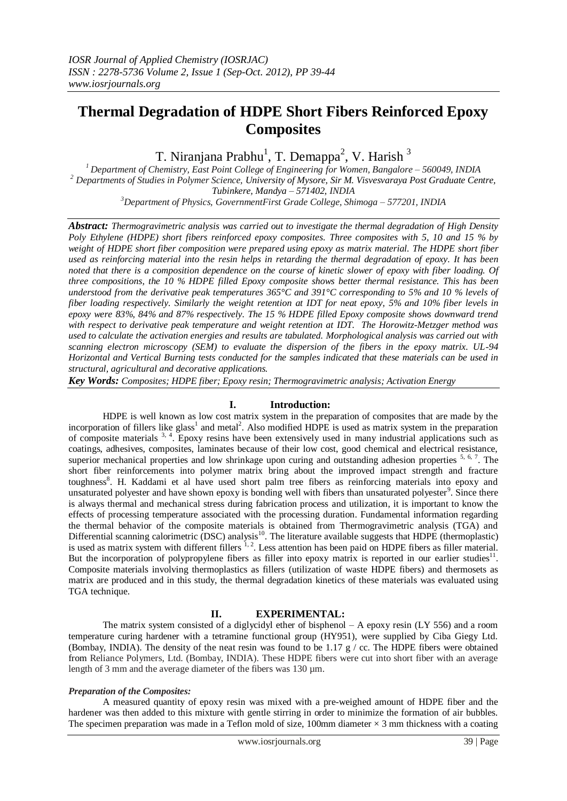# **Thermal Degradation of HDPE Short Fibers Reinforced Epoxy Composites**

T. Niranjana Prabhu<sup>1</sup>, T. Demappa<sup>2</sup>, V. Harish<sup>3</sup>

*<sup>1</sup>Department of Chemistry, East Point College of Engineering for Women, Bangalore – 560049, INDIA <sup>2</sup> Departments of Studies in Polymer Science, University of Mysore, Sir M. Visvesvaraya Post Graduate Centre, Tubinkere, Mandya – 571402, INDIA*

*<sup>3</sup>Department of Physics, GovernmentFirst Grade College, Shimoga – 577201, INDIA*

*Abstract: Thermogravimetric analysis was carried out to investigate the thermal degradation of High Density Poly Ethylene (HDPE) short fibers reinforced epoxy composites. Three composites with 5, 10 and 15 % by weight of HDPE short fiber composition were prepared using epoxy as matrix material. The HDPE short fiber used as reinforcing material into the resin helps in retarding the thermal degradation of epoxy. It has been noted that there is a composition dependence on the course of kinetic slower of epoxy with fiber loading. Of three compositions, the 10 % HDPE filled Epoxy composite shows better thermal resistance. This has been understood from the derivative peak temperatures 365°C and 391°C corresponding to 5% and 10 % levels of fiber loading respectively. Similarly the weight retention at IDT for neat epoxy, 5% and 10% fiber levels in epoxy were 83%, 84% and 87% respectively. The 15 % HDPE filled Epoxy composite shows downward trend with respect to derivative peak temperature and weight retention at IDT. The Horowitz-Metzger method was used to calculate the activation energies and results are tabulated. Morphological analysis was carried out with scanning electron microscopy (SEM) to evaluate the dispersion of the fibers in the epoxy matrix. UL-94 Horizontal and Vertical Burning tests conducted for the samples indicated that these materials can be used in structural, agricultural and decorative applications.* 

*Key Words: Composites; HDPE fiber; Epoxy resin; Thermogravimetric analysis; Activation Energy*

# **I. Introduction:**

HDPE is well known as low cost matrix system in the preparation of composites that are made by the incorporation of fillers like glass<sup>1</sup> and metal<sup>2</sup>. Also modified HDPE is used as matrix system in the preparation of composite materials <sup>3, 4</sup>. Epoxy resins have been extensively used in many industrial applications such as coatings, adhesives, composites, laminates because of their low cost, good chemical and electrical resistance, superior mechanical properties and low shrinkage upon curing and outstanding adhesion properties  $5, 6, 7$ . The short fiber reinforcements into polymer matrix bring about the improved impact strength and fracture toughness<sup>8</sup>. H. Kaddami et al have used short palm tree fibers as reinforcing materials into epoxy and unsaturated polyester and have shown epoxy is bonding well with fibers than unsaturated polyester<sup>9</sup>. Since there is always thermal and mechanical stress during fabrication process and utilization, it is important to know the effects of processing temperature associated with the processing duration. Fundamental information regarding the thermal behavior of the composite materials is obtained from Thermogravimetric analysis (TGA) and Differential scanning calorimetric (DSC) analysis<sup>10</sup>. The literature available suggests that HDPE (thermoplastic) is used as matrix system with different fillers  $1, 2$ . Less attention has been paid on HDPE fibers as filler material. But the incorporation of polypropylene fibers as filler into epoxy matrix is reported in our earlier studies $^{11}$ . Composite materials involving thermoplastics as fillers (utilization of waste HDPE fibers) and thermosets as matrix are produced and in this study, the thermal degradation kinetics of these materials was evaluated using TGA technique.

# **II. EXPERIMENTAL:**

The matrix system consisted of a diglycidyl ether of bisphenol  $- A$  epoxy resin (LY 556) and a room temperature curing hardener with a tetramine functional group (HY951), were supplied by Ciba Giegy Ltd. (Bombay, INDIA). The density of the neat resin was found to be 1.17  $g / cc$ . The HDPE fibers were obtained from Reliance Polymers, Ltd. (Bombay, INDIA). These HDPE fibers were cut into short fiber with an average length of 3 mm and the average diameter of the fibers was 130 µm.

## *Preparation of the Composites:*

A measured quantity of epoxy resin was mixed with a pre-weighed amount of HDPE fiber and the hardener was then added to this mixture with gentle stirring in order to minimize the formation of air bubbles. The specimen preparation was made in a Teflon mold of size, 100mm diameter  $\times$  3 mm thickness with a coating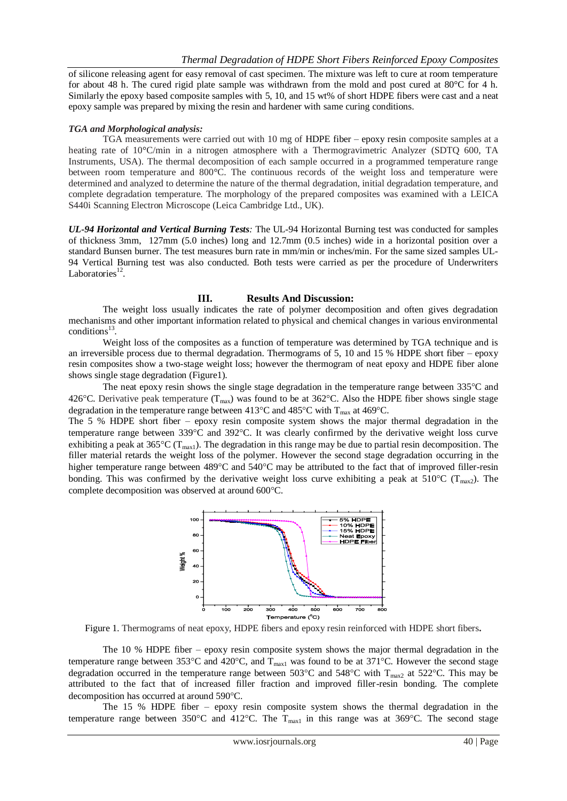of silicone releasing agent for easy removal of cast specimen. The mixture was left to cure at room temperature for about 48 h. The cured rigid plate sample was withdrawn from the mold and post cured at 80°C for 4 h. Similarly the epoxy based composite samples with 5, 10, and 15 wt% of short HDPE fibers were cast and a neat epoxy sample was prepared by mixing the resin and hardener with same curing conditions.

#### *TGA and Morphological analysis:*

TGA measurements were carried out with 10 mg of HDPE fiber – epoxy resin composite samples at a heating rate of 10°C/min in a nitrogen atmosphere with a Thermogravimetric Analyzer (SDTQ 600, TA Instruments, USA). The thermal decomposition of each sample occurred in a programmed temperature range between room temperature and 800°C. The continuous records of the weight loss and temperature were determined and analyzed to determine the nature of the thermal degradation, initial degradation temperature, and complete degradation temperature. The morphology of the prepared composites was examined with a LEICA S440i Scanning Electron Microscope (Leica Cambridge Ltd., UK).

*UL-94 Horizontal and Vertical Burning Tests:* The UL-94 Horizontal Burning test was conducted for samples of thickness 3mm, 127mm (5.0 inches) long and 12.7mm (0.5 inches) wide in a horizontal position over a standard Bunsen burner. The test measures burn rate in mm/min or inches/min. For the same sized samples UL-94 Vertical Burning test was also conducted. Both tests were carried as per the procedure of Underwriters Laboratories $^{12}$ .

### **III. Results And Discussion:**

The weight loss usually indicates the rate of polymer decomposition and often gives degradation mechanisms and other important information related to physical and chemical changes in various environmental  $conditions<sup>13</sup>$ .

Weight loss of the composites as a function of temperature was determined by TGA technique and is an irreversible process due to thermal degradation. Thermograms of 5, 10 and 15 % HDPE short fiber – epoxy resin composites show a two-stage weight loss; however the thermogram of neat epoxy and HDPE fiber alone shows single stage degradation (Figure1).

The neat epoxy resin shows the single stage degradation in the temperature range between  $335^{\circ}$ C and 426°C. Derivative peak temperature ( $T_{\text{max}}$ ) was found to be at 362°C. Also the HDPE fiber shows single stage degradation in the temperature range between 413°C and 485°C with  $T_{\text{max}}$  at 469°C.

The 5 % HDPE short fiber – epoxy resin composite system shows the major thermal degradation in the temperature range between  $339^{\circ}$ C and  $392^{\circ}$ C. It was clearly confirmed by the derivative weight loss curve exhibiting a peak at  $365^{\circ}C(T_{max})$ . The degradation in this range may be due to partial resin decomposition. The filler material retards the weight loss of the polymer. However the second stage degradation occurring in the higher temperature range between 489°C and 540°C may be attributed to the fact that of improved filler-resin bonding. This was confirmed by the derivative weight loss curve exhibiting a peak at  $510^{\circ}$ C (T<sub>max2</sub>). The complete decomposition was observed at around 600°C.



Figure 1. Thermograms of neat epoxy, HDPE fibers and epoxy resin reinforced with HDPE short fibers**.**

The 10 % HDPE fiber – epoxy resin composite system shows the major thermal degradation in the temperature range between  $353^{\circ}$ C and  $420^{\circ}$ C, and T<sub>max1</sub> was found to be at  $371^{\circ}$ C. However the second stage degradation occurred in the temperature range between 503 $^{\circ}$ C and 548 $^{\circ}$ C with T<sub>max2</sub> at 522 $^{\circ}$ C. This may be attributed to the fact that of increased filler fraction and improved filler-resin bonding. The complete decomposition has occurred at around 590°C.

The 15 % HDPE fiber – epoxy resin composite system shows the thermal degradation in the temperature range between 350°C and 412°C. The  $T_{max1}$  in this range was at 369°C. The second stage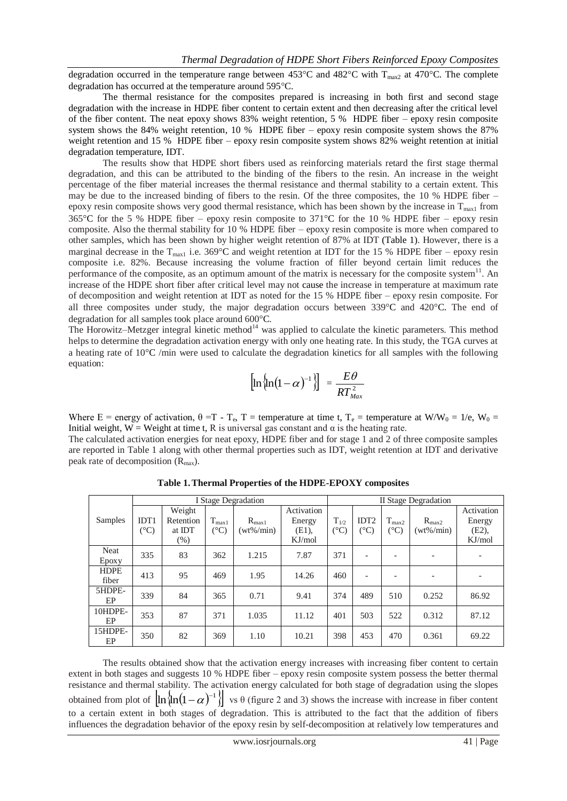degradation occurred in the temperature range between 453 °C and 482 °C with  $T_{\text{max2}}$  at 470 °C. The complete degradation has occurred at the temperature around 595°C.

The thermal resistance for the composites prepared is increasing in both first and second stage degradation with the increase in HDPE fiber content to certain extent and then decreasing after the critical level of the fiber content. The neat epoxy shows 83% weight retention, 5 % HDPE fiber – epoxy resin composite system shows the 84% weight retention, 10 % HDPE fiber – epoxy resin composite system shows the 87% weight retention and 15 % HDPE fiber – epoxy resin composite system shows 82% weight retention at initial degradation temperature, IDT.

The results show that HDPE short fibers used as reinforcing materials retard the first stage thermal degradation, and this can be attributed to the binding of the fibers to the resin. An increase in the weight percentage of the fiber material increases the thermal resistance and thermal stability to a certain extent. This may be due to the increased binding of fibers to the resin. Of the three composites, the 10 % HDPE fiber – epoxy resin composite shows very good thermal resistance, which has been shown by the increase in  $T_{\text{max1}}$  from 365°C for the 5 % HDPE fiber – epoxy resin composite to 371°C for the 10 % HDPE fiber – epoxy resin composite. Also the thermal stability for 10 % HDPE fiber – epoxy resin composite is more when compared to other samples, which has been shown by higher weight retention of 87% at IDT (Table 1). However, there is a marginal decrease in the  $T_{max1}$  i.e. 369°C and weight retention at IDT for the 15 % HDPE fiber – epoxy resin composite i.e. 82%. Because increasing the volume fraction of filler beyond certain limit reduces the performance of the composite, as an optimum amount of the matrix is necessary for the composite system<sup>11</sup>. An increase of the HDPE short fiber after critical level may not cause the increase in temperature at maximum rate of decomposition and weight retention at IDT as noted for the 15 % HDPE fiber – epoxy resin composite. For all three composites under study, the major degradation occurs between 339°C and 420°C. The end of degradation for all samples took place around 600°C.

The Horowitz–Metzger integral kinetic method<sup>14</sup> was applied to calculate the kinetic parameters. This method helps to determine the degradation activation energy with only one heating rate. In this study, the TGA curves at a heating rate of  $10^{\circ}$ C /min were used to calculate the degradation kinetics for all samples with the following equation:

$$
\left[\ln\left(\ln(1-\alpha)^{-1}\right)\right] = \frac{E\theta}{RT_{\text{Max}}^2}
$$

Where E = energy of activation,  $\theta = T - T_e$ , T = temperature at time t, T<sub>e</sub> = temperature at W/W<sub>0</sub> = 1/e, W<sub>0</sub> = Initial weight, W = Weight at time t, R is universal gas constant and  $α$  is the heating rate.

The calculated activation energies for neat epoxy, HDPE fiber and for stage 1 and 2 of three composite samples are reported in Table 1 along with other thermal properties such as IDT, weight retention at IDT and derivative peak rate of decomposition  $(R<sub>max</sub>)$ .

|                      | I Stage Degradation               |                                                |                               |                              |                                            | II Stage Degradation                |                                   |                            |                                     |                                            |
|----------------------|-----------------------------------|------------------------------------------------|-------------------------------|------------------------------|--------------------------------------------|-------------------------------------|-----------------------------------|----------------------------|-------------------------------------|--------------------------------------------|
| Samples              | IDT <sub>1</sub><br>$(^{\circ}C)$ | Weight<br>Retention<br>at <b>IDT</b><br>$(\%)$ | $T_{max1}$<br>$({}^{\circ}C)$ | $R_{max1}$<br>$(wt\% / min)$ | Activation<br>Energy<br>$(E1)$ ,<br>KJ/mol | $T_{1/2}$<br>$({}^\circ\mathrm{C})$ | IDT <sub>2</sub><br>$(^{\circ}C)$ | $T_{max2}$<br>$(^\circ C)$ | $R_{\text{max2}}$<br>$(wt\% / min)$ | Activation<br>Energy<br>$(E2)$ ,<br>KJ/mol |
| <b>Neat</b><br>Epoxy | 335                               | 83                                             | 362                           | 1.215                        | 7.87                                       | 371                                 | $\overline{\phantom{0}}$          | $\qquad \qquad$            |                                     |                                            |
| <b>HDPE</b><br>fiber | 413                               | 95                                             | 469                           | 1.95                         | 14.26                                      | 460                                 | $\overline{\phantom{0}}$          | $\qquad \qquad$            | $\overline{\phantom{0}}$            |                                            |
| 5HDPE-<br>EP         | 339                               | 84                                             | 365                           | 0.71                         | 9.41                                       | 374                                 | 489                               | 510                        | 0.252                               | 86.92                                      |
| 10HDPE-<br>EP        | 353                               | 87                                             | 371                           | 1.035                        | 11.12                                      | 401                                 | 503                               | 522                        | 0.312                               | 87.12                                      |
| 15HDPE-<br>EP        | 350                               | 82                                             | 369                           | 1.10                         | 10.21                                      | 398                                 | 453                               | 470                        | 0.361                               | 69.22                                      |

**Table 1.Thermal Properties of the HDPE-EPOXY composites**

The results obtained show that the activation energy increases with increasing fiber content to certain extent in both stages and suggests 10 % HDPE fiber – epoxy resin composite system possess the better thermal resistance and thermal stability. The activation energy calculated for both stage of degradation using the slopes obtained from plot of  $\ln \ln(1-\alpha)^{-1}$  vs  $\theta$  (figure 2 and 3) shows the increase with increase in fiber content to a certain extent in both stages of degradation. This is attributed to the fact that the addition of fibers influences the degradation behavior of the epoxy resin by self-decomposition at relatively low temperatures and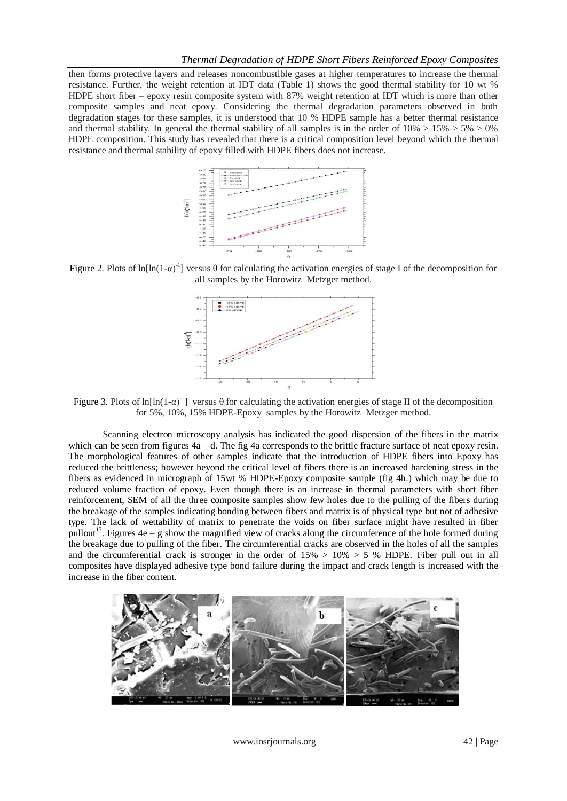then forms protective layers and releases noncombustible gases at higher temperatures to increase the thermal resistance. Further, the weight retention at IDT data (Table 1) shows the good thermal stability for 10 wt % HDPE short fiber – epoxy resin composite system with 87% weight retention at IDT which is more than other composite samples and neat epoxy. Considering the thermal degradation parameters observed in both degradation stages for these samples, it is understood that 10 % HDPE sample has a better thermal resistance and thermal stability. In general the thermal stability of all samples is in the order of  $10\% > 15\% > 5\% > 0\%$ HDPE composition. This study has revealed that there is a critical composition level beyond which the thermal resistance and thermal stability of epoxy filled with HDPE fibers does not increase.



Figure 2. Plots of  $ln[ln(1-\alpha)^{-1}]$  versus  $\theta$  for calculating the activation energies of stage I of the decomposition for all samples by the Horowitz–Metzger method.



Figure 3. Plots of ln[ln(1- $\alpha$ )<sup>-1</sup>] versus  $\theta$  for calculating the activation energies of stage II of the decomposition for 5%, 10%, 15% HDPE-Epoxy samples by the Horowitz–Metzger method.

Scanning electron microscopy analysis has indicated the good dispersion of the fibers in the matrix which can be seen from figures  $4a - d$ . The fig 4a corresponds to the brittle fracture surface of neat epoxy resin. The morphological features of other samples indicate that the introduction of HDPE fibers into Epoxy has reduced the brittleness; however beyond the critical level of fibers there is an increased hardening stress in the fibers as evidenced in micrograph of 15wt % HDPE-Epoxy composite sample (fig 4h.) which may be due to reduced volume fraction of epoxy. Even though there is an increase in thermal parameters with short fiber reinforcement, SEM of all the three composite samples show few holes due to the pulling of the fibers during the breakage of the samples indicating bonding between fibers and matrix is of physical type but not of adhesive type. The lack of wettability of matrix to penetrate the voids on fiber surface might have resulted in fiber pullout<sup>15</sup>. Figures  $4e - g$  show the magnified view of cracks along the circumference of the hole formed during the breakage due to pulling of the fiber. The circumferential cracks are observed in the holes of all the samples and the circumferential crack is stronger in the order of  $15\% > 10\% > 5\%$  HDPE. Fiber pull out in all composites have displayed adhesive type bond failure during the impact and crack length is increased with the increase in the fiber content.

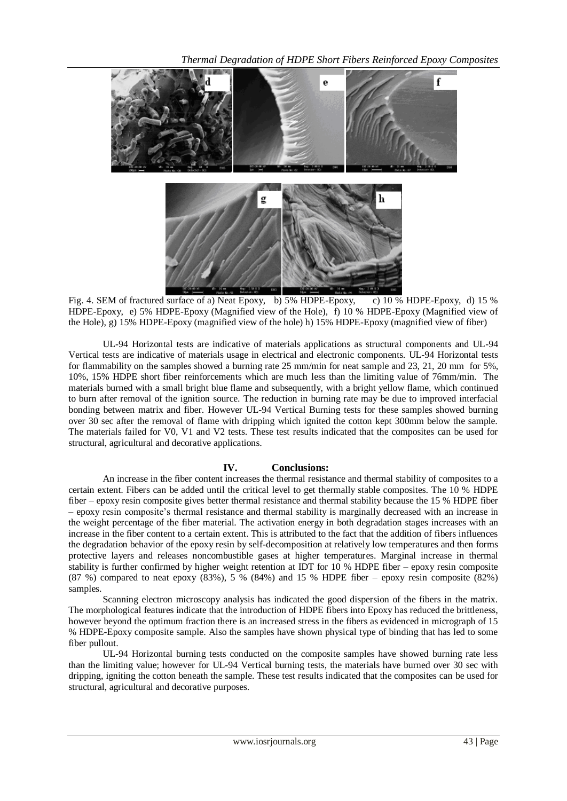

Fig. 4. SEM of fractured surface of a) Neat Epoxy, b) 5% HDPE-Epoxy, c) 10 % HDPE-Epoxy, d) 15 % HDPE-Epoxy, e) 5% HDPE-Epoxy (Magnified view of the Hole), f) 10 % HDPE-Epoxy (Magnified view of the Hole), g) 15% HDPE-Epoxy (magnified view of the hole) h) 15% HDPE-Epoxy (magnified view of fiber)

UL-94 Horizontal tests are indicative of materials applications as structural components and UL-94 Vertical tests are indicative of materials usage in electrical and electronic components. UL-94 Horizontal tests for flammability on the samples showed a burning rate 25 mm/min for neat sample and 23, 21, 20 mm for 5%, 10%, 15% HDPE short fiber reinforcements which are much less than the limiting value of 76mm/min. The materials burned with a small bright blue flame and subsequently, with a bright yellow flame, which continued to burn after removal of the ignition source. The reduction in burning rate may be due to improved interfacial bonding between matrix and fiber. However UL-94 Vertical Burning tests for these samples showed burning over 30 sec after the removal of flame with dripping which ignited the cotton kept 300mm below the sample. The materials failed for V0, V1 and V2 tests. These test results indicated that the composites can be used for structural, agricultural and decorative applications.

# **IV. Conclusions:**

An increase in the fiber content increases the thermal resistance and thermal stability of composites to a certain extent. Fibers can be added until the critical level to get thermally stable composites. The 10 % HDPE fiber – epoxy resin composite gives better thermal resistance and thermal stability because the 15 % HDPE fiber – epoxy resin composite's thermal resistance and thermal stability is marginally decreased with an increase in the weight percentage of the fiber material. The activation energy in both degradation stages increases with an increase in the fiber content to a certain extent. This is attributed to the fact that the addition of fibers influences the degradation behavior of the epoxy resin by self-decomposition at relatively low temperatures and then forms protective layers and releases noncombustible gases at higher temperatures. Marginal increase in thermal stability is further confirmed by higher weight retention at IDT for 10 % HDPE fiber – epoxy resin composite  $(87 \%)$  compared to neat epoxy  $(83\%)$ ,  $5\%$   $(84\%)$  and 15 % HDPE fiber – epoxy resin composite  $(82\%)$ samples.

Scanning electron microscopy analysis has indicated the good dispersion of the fibers in the matrix. The morphological features indicate that the introduction of HDPE fibers into Epoxy has reduced the brittleness, however beyond the optimum fraction there is an increased stress in the fibers as evidenced in micrograph of 15 % HDPE-Epoxy composite sample. Also the samples have shown physical type of binding that has led to some fiber pullout.

UL-94 Horizontal burning tests conducted on the composite samples have showed burning rate less than the limiting value; however for UL-94 Vertical burning tests, the materials have burned over 30 sec with dripping, igniting the cotton beneath the sample. These test results indicated that the composites can be used for structural, agricultural and decorative purposes.